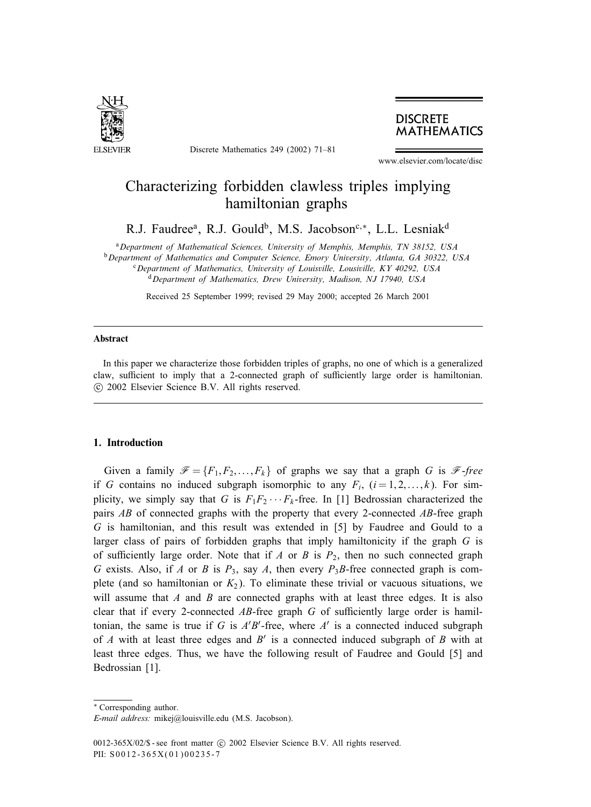

Discrete Mathematics 249 (2002) 71–81



www.elsevier.com/locate/disc

# Characterizing forbidden clawless triples implying hamiltonian graphs

R.J. Faudree<sup>a</sup>, R.J. Gould<sup>b</sup>, M.S. Jacobson<sup>c,\*</sup>, L.L. Lesniak<sup>d</sup>

<sup>a</sup>*Department of Mathematical Sciences, University of Memphis, Memphis, TN 38152, USA* <sup>b</sup>*Department of Mathematics and Computer Science, Emory University, Atlanta, GA 30322, USA* <sup>c</sup>*Department of Mathematics, University of Louisville, Lousiville, KY 40292, USA* <sup>d</sup>*Department of Mathematics, Drew University, Madison, NJ 17940, USA*

Received 25 September 1999; revised 29 May 2000; accepted 26 March 2001

### Abstract

In this paper we characterize those forbidden triples of graphs, no one of which is a generalized claw, sufficient to imply that a 2-connected graph of sufficiently large order is hamiltonian. c 2002 Elsevier Science B.V. All rights reserved.

## 1. Introduction

Given a family  $\mathcal{F} = \{F_1, F_2, \ldots, F_k\}$  of graphs we say that a graph G is  $\mathcal{F}$ -free if G contains no induced subgraph isomorphic to any  $F_i$ ,  $(i = 1, 2, \ldots, k)$ . For simplicity, we simply say that G is  $F_1F_2 \cdots F_k$ -free. In [1] Bedrossian characterized the pairs AB of connected graphs with the property that every 2-connected AB-free graph G is hamiltonian, and this result was extended in [5] by Faudree and Gould to a larger class of pairs of forbidden graphs that imply hamiltonicity if the graph G is of sufficiently large order. Note that if  $A$  or  $B$  is  $P_2$ , then no such connected graph G exists. Also, if A or B is  $P_3$ , say A, then every  $P_3B$ -free connected graph is complete (and so hamiltonian or  $K_2$ ). To eliminate these trivial or vacuous situations, we will assume that  $A$  and  $B$  are connected graphs with at least three edges. It is also clear that if every 2-connected  $AB$ -free graph G of sufficiently large order is hamiltonian, the same is true if G is  $A'B'$ -free, where  $A'$  is a connected induced subgraph of A with at least three edges and  $B'$  is a connected induced subgraph of B with at least three edges. Thus, we have the following result of Faudree and Gould [5] and Bedrossian [1].

<sup>∗</sup> Correspondingauthor.

*E-mail address:* mikej@louisville.edu (M.S. Jacobson).

<sup>0012-365</sup>X/02/\$ - see front matter  $\odot$  2002 Elsevier Science B.V. All rights reserved. PII: S0012-365X(01)00235-7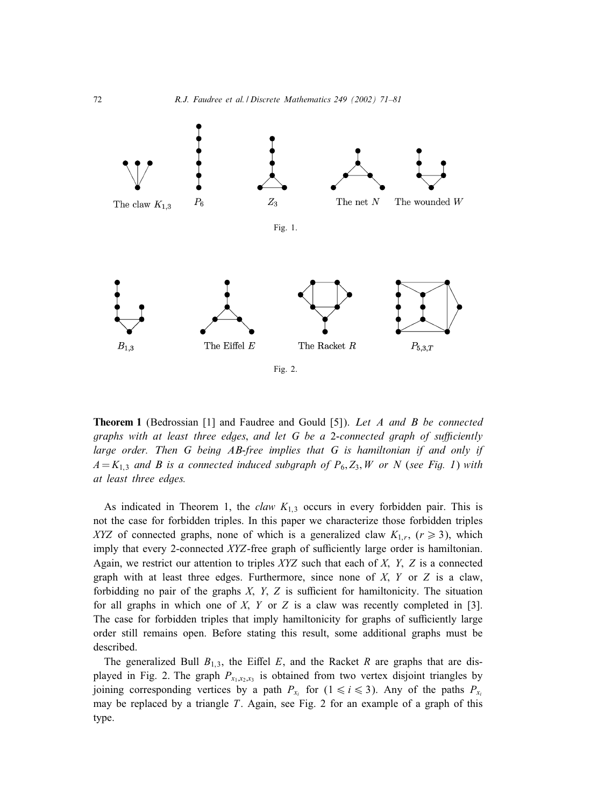

Theorem 1 (Bedrossian [1] and Faudree and Gould [5]). *Let A and B be connected graphs with at least three edges, and let G be a 2-connected graph of sufficiently large order. Then G being AB-free implies that G is hamiltonian if and only if*  $A = K_{1,3}$  *and B is a connected induced subgraph of*  $P_6$ ,  $Z_3$ ,  $W$  *or N* (*see Fig. 1*) *with at least three edges.*

As indicated in Theorem 1, the *claw*  $K_{1,3}$  occurs in every forbidden pair. This is not the case for forbidden triples. In this paper we characterize those forbidden triples XYZ of connected graphs, none of which is a generalized claw  $K_{1,r}$ ,  $(r \ge 3)$ , which imply that every 2-connected  $XYZ$ -free graph of sufficiently large order is hamiltonian. Again, we restrict our attention to triples  $XYZ$  such that each of X, Y, Z is a connected graph with at least three edges. Furthermore, since none of  $X$ ,  $Y$  or  $Z$  is a claw, forbidding no pair of the graphs  $X$ ,  $Y$ ,  $Z$  is sufficient for hamiltonicity. The situation for all graphs in which one of  $X$ ,  $Y$  or  $Z$  is a claw was recently completed in [3]. The case for forbidden triples that imply hamiltonicity for graphs of sufficiently large order still remains open. Before stating this result, some additional graphs must be described.

The generalized Bull  $B_{1,3}$ , the Eiffel E, and the Racket R are graphs that are displayed in Fig. 2. The graph  $P_{x_1,x_2,x_3}$  is obtained from two vertex disjoint triangles by joining corresponding vertices by a path  $P_{x_i}$  for  $(1 \le i \le 3)$ . Any of the paths  $P_{x_i}$ may be replaced by a triangle  $T$ . Again, see Fig. 2 for an example of a graph of this type.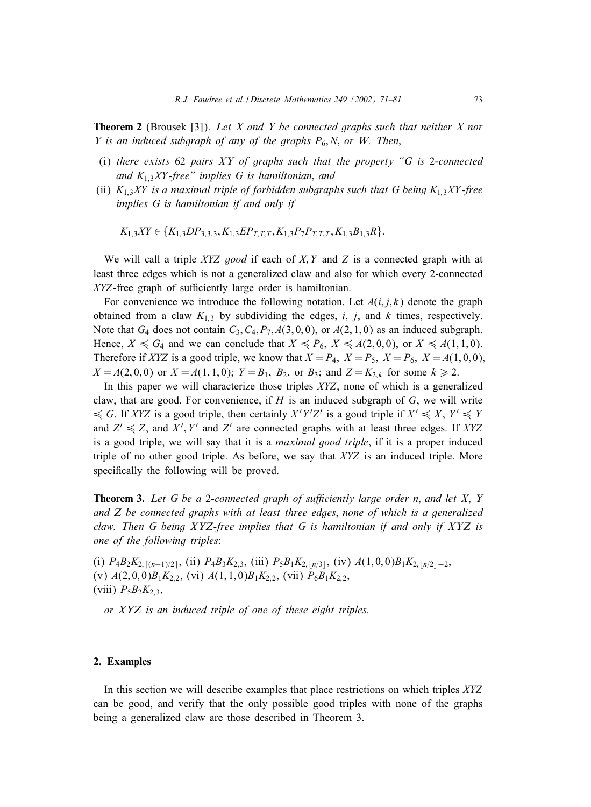Theorem 2 (Brousek [3]). *Let X and Y be connected graphs such that neither X nor Y is an induced subgraph of any of the graphs*  $P_6$ , *N*, *or W. Then*,

- (i) *there exists* 62 *pairs XY of graphs such that the property "G is* 2*-connected and* K1;3XY *-free" implies G is hamiltonian*; *and*
- (ii) K1;3XY *is a maximal triple of forbidden subgraphs such that G being* K1;3XY *-free implies G is hamiltonian if and only if*

$$
K_{1,3}XY \in \{K_{1,3}DP_{3,3,3}, K_{1,3}EP_{T,T,T}, K_{1,3}P_7P_{T,T,T}, K_{1,3}B_{1,3}R\}.
$$

We will call a triple XYZ good if each of X, Y and Z is a connected graph with at least three edges which is not a generalized claw and also for which every 2-connected  $XYZ$ -free graph of sufficiently large order is hamiltonian.

For convenience we introduce the following notation. Let  $A(i, j, k)$  denote the graph obtained from a claw  $K_{1,3}$  by subdividing the edges, i, j, and k times, respectively. Note that  $G_4$  does not contain  $C_3$ ,  $C_4$ ,  $P_7$ ,  $A(3,0,0)$ , or  $A(2,1,0)$  as an induced subgraph. Hence,  $X \le G_4$  and we can conclude that  $X \le P_6$ ,  $X \le A(2, 0, 0)$ , or  $X \le A(1, 1, 0)$ . Therefore if XYZ is a good triple, we know that  $X = P_4$ ,  $X = P_5$ ,  $X = P_6$ ,  $X = A(1, 0, 0)$ ,  $X = A(2, 0, 0)$  or  $X = A(1, 1, 0);$   $Y = B_1$ ,  $B_2$ , or  $B_3$ ; and  $Z = K_{2,k}$  for some  $k \ge 2$ .

In this paper we will characterize those triples XYZ, none of which is a generalized claw, that are good. For convenience, if  $H$  is an induced subgraph of  $G$ , we will write  $\leq G$ . If XYZ is a good triple, then certainly  $X'Y'Z'$  is a good triple if  $X' \leq X$ ,  $Y' \leq Y$ and  $Z' \leq Z$ , and  $X'$ ,  $Y'$  and  $Z'$  are connected graphs with at least three edges. If XYZ is a good triple, we will say that it is a *maximal good triple*, if it is a proper induced triple of no other good triple. As before, we say that XYZ is an induced triple. More specifically the following will be proved.

**Theorem 3.** Let G be a 2-connected graph of sufficiently large order n, and let X, Y *and Z be connected graphs with at least three edges*; *none of which is a generalized claw. Then G being XYZ-free implies that G is hamiltonian if and only if XYZ is one of the following triples*:

(i)  $P_4B_2K_{2,\lceil (n+1)/2 \rceil}$ , (ii)  $P_4B_3K_{2,3}$ , (iii)  $P_5B_1K_{2,\lfloor n/3 \rfloor}$ , (iv)  $A(1,0,0)B_1K_{2,\lfloor n/2 \rfloor-2}$ , (v)  $A(2,0,0)B_1K_{2,2}$ , (vi)  $A(1,1,0)B_1K_{2,2}$ , (vii)  $P_6B_1K_{2,2}$ (viii)  $P_5B_2K_{2,3}$ ,

*or XYZ is an induced triple of one of these eight triples*.

# 2. Examples

In this section we will describe examples that place restrictions on which triples XYZ can be good, and verify that the only possible good triples with none of the graphs being a generalized claw are those described in Theorem 3.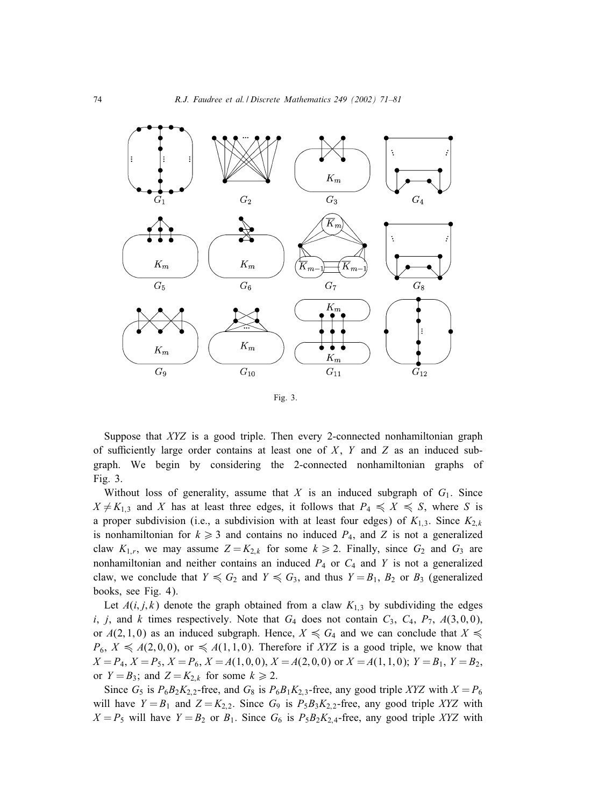

Fig. 3.

Suppose that XYZ is a good triple. Then every 2-connected nonhamiltonian graph of sufficiently large order contains at least one of  $X$ ,  $Y$  and  $Z$  as an induced subgraph. We begin by considering the 2-connected nonhamiltonian graphs of Fig. 3.

Without loss of generality, assume that X is an induced subgraph of  $G_1$ . Since  $X \neq K_{1,3}$  and X has at least three edges, it follows that  $P_4 \leq X \leq S$ , where S is a proper subdivision (i.e., a subdivision with at least four edges) of  $K_{1,3}$ . Since  $K_{2,k}$ is nonhamiltonian for  $k \geq 3$  and contains no induced  $P_4$ , and Z is not a generalized claw  $K_{1,r}$ , we may assume  $Z = K_{2,k}$  for some  $k \ge 2$ . Finally, since  $G_2$  and  $G_3$  are nonhamiltonian and neither contains an induced  $P_4$  or  $C_4$  and Y is not a generalized claw, we conclude that  $Y \preccurlyeq G_2$  and  $Y \preccurlyeq G_3$ , and thus  $Y = B_1$ ,  $B_2$  or  $B_3$  (generalized books, see Fig. 4).

Let  $A(i, j, k)$  denote the graph obtained from a claw  $K_{1,3}$  by subdividing the edges i, j, and k times respectively. Note that  $G_4$  does not contain  $C_3$ ,  $C_4$ ,  $P_7$ ,  $A(3,0,0)$ , or  $A(2, 1, 0)$  as an induced subgraph. Hence,  $X \le G_4$  and we can conclude that  $X \le$  $P_6$ ,  $X \le A(2, 0, 0)$ , or  $\le A(1, 1, 0)$ . Therefore if XYZ is a good triple, we know that  $X = P_4$ ,  $X = P_5$ ,  $X = P_6$ ,  $X = A(1, 0, 0)$ ,  $X = A(2, 0, 0)$  or  $X = A(1, 1, 0)$ ;  $Y = B_1$ ,  $Y = B_2$ , or  $Y = B_3$ ; and  $Z = K_{2,k}$  for some  $k \ge 2$ .

Since  $G_5$  is  $P_6B_2K_{2,2}$ -free, and  $G_8$  is  $P_6B_1K_{2,3}$ -free, any good triple XYZ with  $X = P_6$ will have  $Y = B_1$  and  $Z = K_{2,2}$ . Since  $G_9$  is  $P_5B_3K_{2,2}$ -free, any good triple XYZ with  $X = P_5$  will have  $Y = B_2$  or  $B_1$ . Since  $G_6$  is  $P_5B_2K_{2,4}$ -free, any good triple XYZ with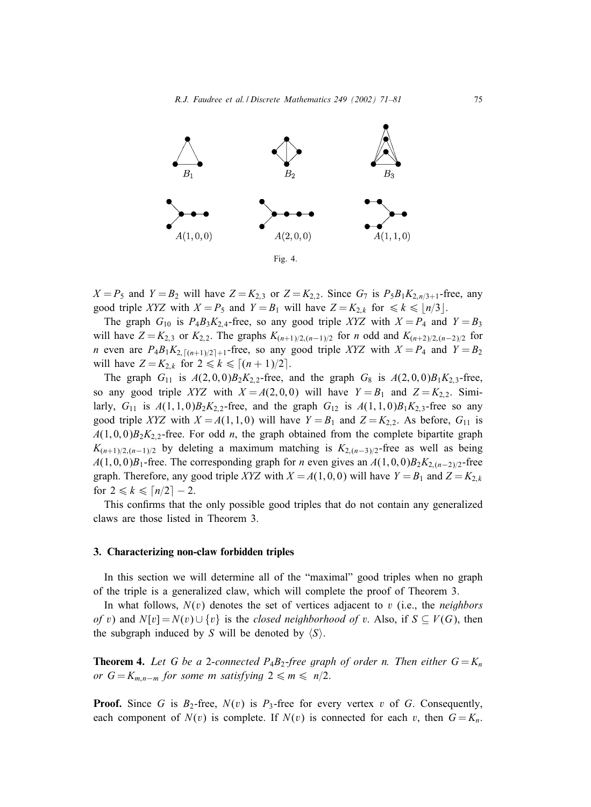

 $X = P_5$  and  $Y = B_2$  will have  $Z = K_{2,3}$  or  $Z = K_{2,2}$ . Since  $G_7$  is  $P_5B_1K_{2,n/3+1}$ -free, any good triple XYZ with  $X = P_5$  and  $Y = B_1$  will have  $Z = K_{2,k}$  for  $\le k \le \lfloor n/3 \rfloor$ .

The graph  $G_{10}$  is  $P_4B_3K_{2,4}$ -free, so any good triple XYZ with  $X = P_4$  and  $Y = B_3$ will have  $Z = K_{2,3}$  or  $K_{2,2}$ . The graphs  $K_{(n+1)/2,(n-1)/2}$  for n odd and  $K_{(n+2)/2,(n-2)/2}$  for *n* even are  $P_4B_1K_{2,\lceil (n+1)/2 \rceil+1}$ -free, so any good triple XYZ with  $X = P_4$  and  $Y = B_2$ will have  $Z = K_{2,k}$  for  $2 \le k \le [(n+1)/2]$ .

The graph  $G_{11}$  is  $A(2,0,0)B_2K_{2,2}$ -free, and the graph  $G_8$  is  $A(2,0,0)B_1K_{2,3}$ -free, so any good triple XYZ with  $X = A(2, 0, 0)$  will have  $Y = B_1$  and  $Z = K_{2,2}$ . Similarly,  $G_{11}$  is  $A(1, 1, 0)B_2K_{2,2}$ -free, and the graph  $G_{12}$  is  $A(1, 1, 0)B_1K_{2,3}$ -free so any good triple XYZ with  $X = A(1, 1, 0)$  will have  $Y = B_1$  and  $Z = K_{2,2}$ . As before,  $G_{11}$  is  $A(1,0,0)B_2K_{2,2}$ -free. For odd n, the graph obtained from the complete bipartite graph  $K_{(n+1)/2,(n-1)/2}$  by deleting a maximum matching is  $K_{2,(n-3)/2}$ -free as well as being  $A(1,0,0)B_1$ -free. The corresponding graph for *n* even gives an  $A(1,0,0)B_2K_{2,(n-2)/2}$ -free graph. Therefore, any good triple XYZ with  $X = A(1, 0, 0)$  will have  $Y = B_1$  and  $Z = K_{2,k}$ for  $2 \leq k \leq \lceil n/2 \rceil - 2$ .

This confirms that the only possible good triples that do not contain any generalized claws are those listed in Theorem 3.

## 3. Characterizing non-claw forbidden triples

In this section we will determine all of the "maximal" good triples when no graph of the triple is a generalized claw, which will complete the proof of Theorem 3.

In what follows, N(v) denotes the set of vertices adjacent to v (i.e., the *neighbors of v*) and  $N[v] = N(v) \cup \{v\}$  is the *closed neighborhood of v*. Also, if  $S \subseteq V(G)$ , then the subgraph induced by S will be denoted by  $\langle S \rangle$ .

**Theorem 4.** Let G be a 2-connected  $P_4B_2$ -free graph of order n. Then either  $G = K_n$ *or*  $G = K_{m,n-m}$  *for some m satisfying*  $2 \le m \le n/2$ .

**Proof.** Since G is  $B_2$ -free,  $N(v)$  is  $P_3$ -free for every vertex v of G. Consequently, each component of  $N(v)$  is complete. If  $N(v)$  is connected for each v, then  $G = K_n$ .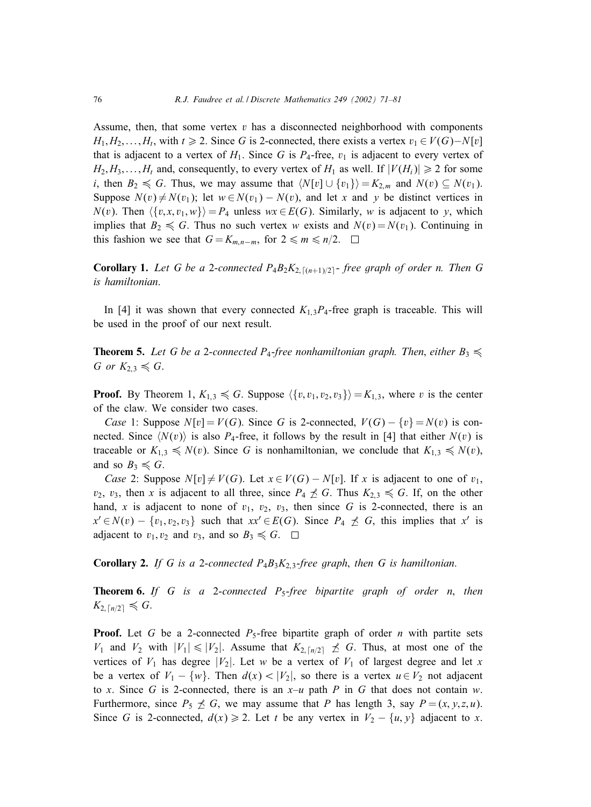Assume, then, that some vertex  $v$  has a disconnected neighborhood with components  $H_1, H_2, \ldots, H_t$ , with  $t \ge 2$ . Since G is 2-connected, there exists a vertex  $v_1 \in V(G) - N[v]$ that is adjacent to a vertex of  $H_1$ . Since G is  $P_4$ -free,  $v_1$  is adjacent to every vertex of  $H_2, H_3, \ldots, H_t$  and, consequently, to every vertex of  $H_1$  as well. If  $|V(H_i)| \geq 2$  for some *i*, then  $B_2 \le G$ . Thus, we may assume that  $\langle N[v] \cup \{v_1\} \rangle = K_{2,m}$  and  $N(v) \subseteq N(v_1)$ . Suppose  $N(v) \neq N(v_1)$ ; let  $w \in N(v_1) - N(v)$ , and let x and y be distinct vertices in  $N(v)$ . Then  $\langle {v, x, v_1, w} \rangle = P_4$  unless  $wx \in E(G)$ . Similarly, w is adjacent to y, which implies that  $B_2 \le G$ . Thus no such vertex w exists and  $N(v) = N(v_1)$ . Continuing in this fashion we see that  $G = K_{m,n-m}$ , for  $2 \le m \le n/2$ . □

**Corollary 1.** Let G be a 2-connected  $P_4B_2K_{2,\lceil (n+1)/2 \rceil}$ -free graph of order n. Then G *is hamiltonian*.

In [4] it was shown that every connected  $K_{1,3}P_4$ -free graph is traceable. This will be used in the proof of our next result.

**Theorem 5.** Let G be a 2-connected P<sub>4</sub>-free nonhamiltonian graph. Then, either  $B_3 \preccurlyeq$ G or  $K_{2,3} \leq G$ .

**Proof.** By Theorem 1,  $K_{1,3} \le G$ . Suppose  $\langle \{v, v_1, v_2, v_3\} \rangle = K_{1,3}$ , where v is the center of the claw. We consider two cases.

*Case* 1: Suppose  $N[v] = V(G)$ . Since G is 2-connected,  $V(G) - \{v\} = N(v)$  is connected. Since  $\langle N(v) \rangle$  is also  $P_4$ -free, it follows by the result in [4] that either  $N(v)$  is traceable or  $K_{1,3} \leq N(v)$ . Since G is nonhamiltonian, we conclude that  $K_{1,3} \leq N(v)$ , and so  $B_3 \leq G$ .

*Case* 2: Suppose  $N[v] \neq V(G)$ . Let  $x \in V(G) - N[v]$ . If x is adjacent to one of  $v_1$ ,  $v_2$ ,  $v_3$ , then x is adjacent to all three, since  $P_4 \npreceq G$ . Thus  $K_{2,3} \le G$ . If, on the other hand, x is adjacent to none of  $v_1$ ,  $v_2$ ,  $v_3$ , then since G is 2-connected, there is an  $x' \in N(v) - \{v_1, v_2, v_3\}$  such that  $xx' \in E(G)$ . Since  $P_4 \npreceq G$ , this implies that x' is adjacent to  $v_1, v_2$  and  $v_3$ , and so  $B_3 \le G$ .  $\Box$ 

Corollary 2. *If G is a* 2-*connected* P4B3K2;3-*free graph*; *then G is hamiltonian*.

Theorem 6. *If G is a* 2-*connected* P5-*free bipartite graph of order n*; *then*  $K_{2,\lceil n/2\rceil} \leq G.$ 

**Proof.** Let G be a 2-connected  $P_5$ -free bipartite graph of order n with partite sets  $V_1$  and  $V_2$  with  $|V_1| \leq |V_2|$ . Assume that  $K_{2,\lceil n/2 \rceil} \not\preceq G$ . Thus, at most one of the vertices of  $V_1$  has degree  $|V_2|$ . Let w be a vertex of  $V_1$  of largest degree and let x be a vertex of  $V_1 - \{w\}$ . Then  $d(x) < |V_2|$ , so there is a vertex  $u \in V_2$  not adjacent to x. Since G is 2-connected, there is an  $x-u$  path P in G that does not contain w. Furthermore, since  $P_5 \nleq G$ , we may assume that P has length 3, say  $P = (x, y, z, u)$ . Since G is 2-connected,  $d(x) \ge 2$ . Let t be any vertex in  $V_2 - \{u, y\}$  adjacent to x.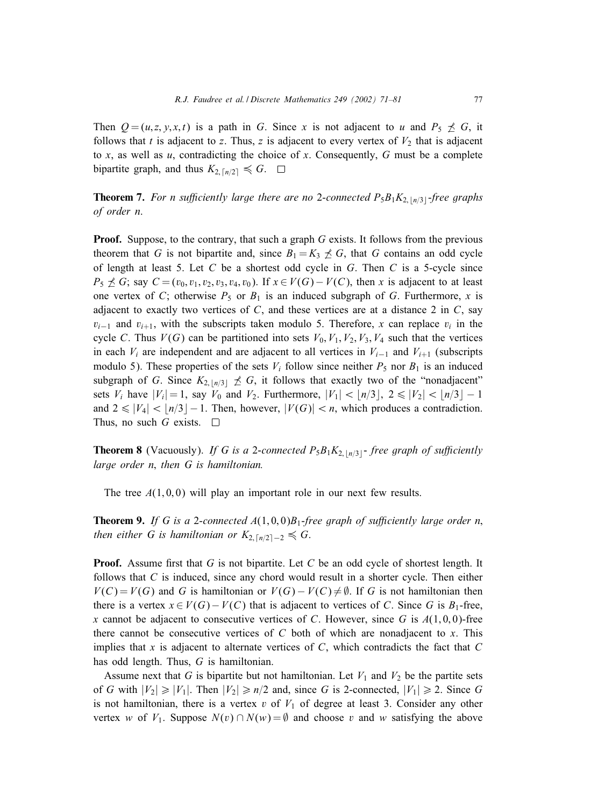Then  $Q=(u, z, y, x, t)$  is a path in G. Since x is not adjacent to u and  $P_5 \npreceq G$ , it follows that t is adjacent to z. Thus, z is adjacent to every vertex of  $V_2$  that is adjacent to x, as well as  $u$ , contradicting the choice of x. Consequently, G must be a complete bipartite graph, and thus  $K_{2,\lceil n/2 \rceil} \leq G$ .

**Theorem 7.** For n sufficiently large there are no 2-connected  $P_5B_1K_{2, \lfloor n/3 \rfloor}$ -free graphs *of order n*.

**Proof.** Suppose, to the contrary, that such a graph  $G$  exists. It follows from the previous theorem that G is not bipartite and, since  $B_1 = K_3 \nless G$ , that G contains an odd cycle of length at least 5. Let  $C$  be a shortest odd cycle in  $G$ . Then  $C$  is a 5-cycle since  $P_5 \nleq G$ ; say  $C = (v_0, v_1, v_2, v_3, v_4, v_0)$ . If  $x \in V(G) - V(C)$ , then x is adjacent to at least one vertex of C; otherwise  $P_5$  or  $B_1$  is an induced subgraph of G. Furthermore, x is adjacent to exactly two vertices of  $C$ , and these vertices are at a distance 2 in  $C$ , say  $v_{i-1}$  and  $v_{i+1}$ , with the subscripts taken modulo 5. Therefore, x can replace  $v_i$  in the cycle C. Thus  $V(G)$  can be partitioned into sets  $V_0$ ,  $V_1$ ,  $V_2$ ,  $V_3$ ,  $V_4$  such that the vertices in each  $V_i$  are independent and are adjacent to all vertices in  $V_{i-1}$  and  $V_{i+1}$  (subscripts modulo 5). These properties of the sets  $V_i$  follow since neither  $P_5$  nor  $B_1$  is an induced subgraph of G. Since  $K_{2, \lfloor n/3 \rfloor} \not\preceq G$ , it follows that exactly two of the "nonadjacent" sets  $V_i$  have  $|V_i| = 1$ , say  $V_0$  and  $V_2$ . Furthermore,  $|V_1| < |n/3|$ ,  $2 \le |V_2| < |n/3| - 1$ and  $2 \leq |V_4| < |n/3| - 1$ . Then, however,  $|V(G)| < n$ , which produces a contradiction. Thus, no such G exists.  $\Box$ 

**Theorem 8** (Vacuously). *If G is a 2-connected*  $P_5B_1K_{2,|n/3|}$ -free graph of sufficiently *large order n*; *then G is hamiltonian.*

The tree  $A(1,0,0)$  will play an important role in our next few results.

**Theorem 9.** If G is a 2-connected  $A(1,0,0)B_1$ -free graph of sufficiently large order n, then either G is hamiltonian or  $K_{2,\lceil n/2\rceil-2}\leqslant G$ .

**Proof.** Assume first that G is not bipartite. Let C be an odd cycle of shortest length. It follows that C is induced, since any chord would result in a shorter cycle. Then either  $V(C) = V(G)$  and G is hamiltonian or  $V(G) - V(C) \neq \emptyset$ . If G is not hamiltonian then there is a vertex  $x \in V(G) - V(C)$  that is adjacent to vertices of C. Since G is  $B_1$ -free, x cannot be adjacent to consecutive vertices of C. However, since G is  $A(1,0,0)$ -free there cannot be consecutive vertices of  $C$  both of which are nonadjacent to  $x$ . This implies that x is adjacent to alternate vertices of  $C$ , which contradicts the fact that  $C$ has odd length. Thus, G is hamiltonian.

Assume next that G is bipartite but not hamiltonian. Let  $V_1$  and  $V_2$  be the partite sets of G with  $|V_2| \ge |V_1|$ . Then  $|V_2| \ge n/2$  and, since G is 2-connected,  $|V_1| \ge 2$ . Since G is not hamiltonian, there is a vertex v of  $V_1$  of degree at least 3. Consider any other vertex w of  $V_1$ . Suppose  $N(v) \cap N(w) = \emptyset$  and choose v and w satisfying the above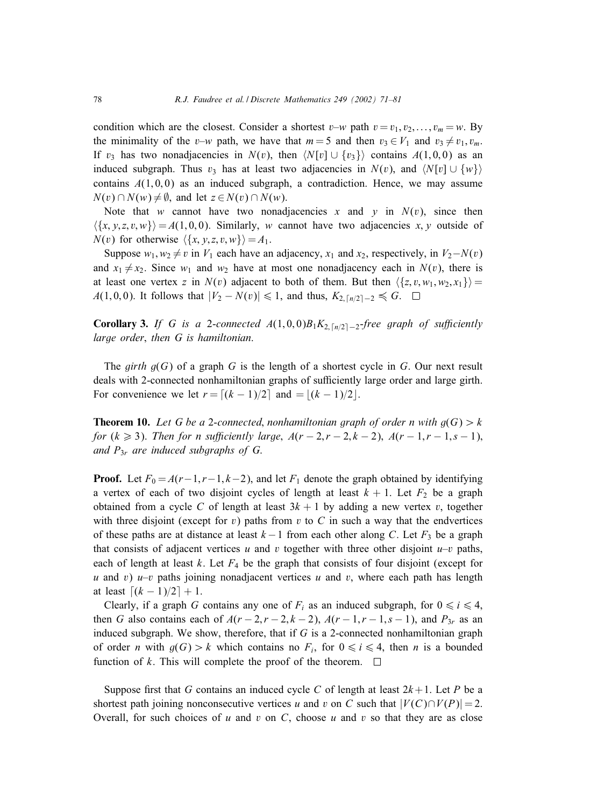condition which are the closest. Consider a shortest  $v-w$  path  $v = v_1, v_2, \dots, v_m = w$ . By the minimality of the v–w path, we have that  $m = 5$  and then  $v_3 \in V_1$  and  $v_3 \neq v_1, v_m$ . If  $v_3$  has two nonadjacencies in  $N(v)$ , then  $\langle N[v] \cup \{v_3\} \rangle$  contains  $A(1,0,0)$  as an induced subgraph. Thus  $v_3$  has at least two adjacencies in  $N(v)$ , and  $\langle N[v] \cup \{w\} \rangle$ contains  $A(1,0,0)$  as an induced subgraph, a contradiction. Hence, we may assume  $N(v) \cap N(w) \neq \emptyset$ , and let  $z \in N(v) \cap N(w)$ .

Note that w cannot have two nonadjacencies x and y in  $N(v)$ , since then  $\{\{x, y, z, v, w\}\}=A(1, 0, 0)$ . Similarly, w cannot have two adjacencies x, y outside of  $N(v)$  for otherwise  $\langle \{x, y, z, v, w\} \rangle = A_1$ .

Suppose  $w_1, w_2 \neq v$  in  $V_1$  each have an adjacency,  $x_1$  and  $x_2$ , respectively, in  $V_2 - N(v)$ and  $x_1 \neq x_2$ . Since  $w_1$  and  $w_2$  have at most one nonadjacency each in  $N(v)$ , there is at least one vertex z in  $N(v)$  adjacent to both of them. But then  $\langle \{z, v, w_1, w_2, x_1\} \rangle =$  $A(1,0,0)$ . It follows that  $|V_2 - N(v)| \le 1$ , and thus,  $K_{2, \lceil n/2 \rceil - 2} \le G$ .

**Corollary 3.** If G is a 2-connected  $A(1,0,0)B_1K_{2,\lceil n/2 \rceil-2}$ -free graph of sufficiently *large order*; *then G is hamiltonian*.

The *girth*  $q(G)$  of a graph G is the length of a shortest cycle in G. Our next result deals with 2-connected nonhamiltonian graphs of sufficiently large order and large girth. For convenience we let  $r = [(k-1)/2]$  and  $= |(k-1)/2|$ .

**Theorem 10.** Let G be a 2-connected, nonhamiltonian graph of order n with  $q(G) > k$ *for*  $(k \ge 3)$ . *Then for n sufficiently large*,  $A(r-2, r-2, k-2)$ ,  $A(r-1, r-1, s-1)$ , *and* P3<sup>r</sup> *are induced subgraphs of G*.

**Proof.** Let  $F_0 = A(r-1, r-1, k-2)$ , and let  $F_1$  denote the graph obtained by identifying a vertex of each of two disjoint cycles of length at least  $k + 1$ . Let  $F_2$  be a graph obtained from a cycle C of length at least  $3k + 1$  by adding a new vertex v, together with three disjoint (except for  $v$ ) paths from  $v$  to  $C$  in such a way that the endvertices of these paths are at distance at least  $k-1$  from each other along C. Let  $F_3$  be a graph that consists of adjacent vertices u and v together with three other disjoint  $u-v$  paths, each of length at least k. Let  $F_4$  be the graph that consists of four disjoint (except for u and v)  $u-v$  paths joining nonadjacent vertices u and v, where each path has length at least  $[(k - 1)/2] + 1$ .

Clearly, if a graph G contains any one of  $F_i$  as an induced subgraph, for  $0 \le i \le 4$ , then G also contains each of  $A(r-2, r-2, k-2)$ ,  $A(r-1, r-1, s-1)$ , and  $P_{3r}$  as an induced subgraph. We show, therefore, that if  $G$  is a 2-connected nonhamiltonian graph of order *n* with  $g(G) > k$  which contains no  $F_i$ , for  $0 \le i \le 4$ , then *n* is a bounded function of k. This will complete the proof of the theorem.  $\Box$ 

Suppose first that G contains an induced cycle C of length at least  $2k+1$ . Let P be a shortest path joining nonconsecutive vertices u and v on C such that  $|V(C) \cap V(P)| = 2$ . Overall, for such choices of u and v on C, choose u and v so that they are as close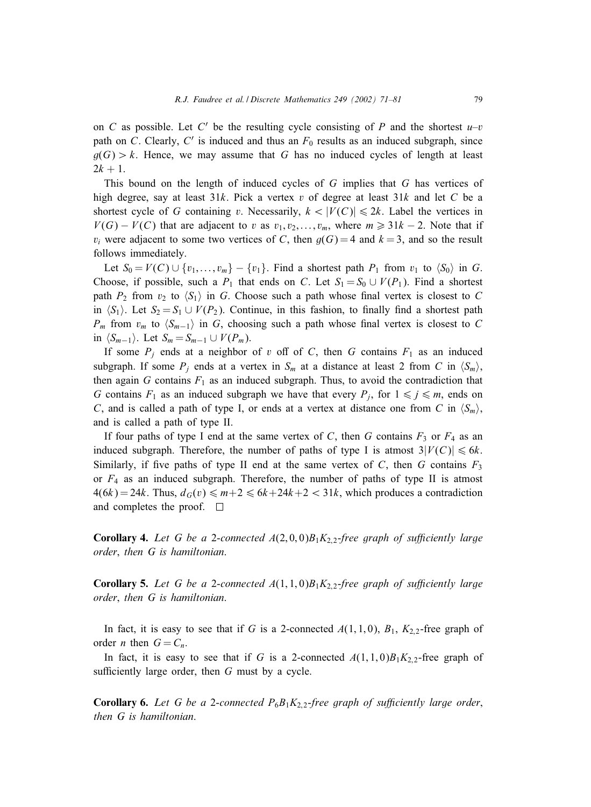on C as possible. Let C' be the resulting cycle consisting of P and the shortest  $u-v$ path on C. Clearly,  $C'$  is induced and thus an  $F_0$  results as an induced subgraph, since  $g(G) > k$ . Hence, we may assume that G has no induced cycles of length at least  $2k + 1$ .

This bound on the length of induced cycles of G implies that G has vertices of high degree, say at least  $31k$ . Pick a vertex v of degree at least  $31k$  and let C be a shortest cycle of G containing v. Necessarily,  $k < |V(C)| \le 2k$ . Label the vertices in  $V(G) - V(C)$  that are adjacent to v as  $v_1, v_2, \ldots, v_m$ , where  $m \geq 31k - 2$ . Note that if  $v_i$  were adjacent to some two vertices of C, then  $g(G) = 4$  and  $k = 3$ , and so the result follows immediately.

Let  $S_0 = V(C) \cup \{v_1, \ldots, v_m\} - \{v_1\}$ . Find a shortest path  $P_1$  from  $v_1$  to  $\langle S_0 \rangle$  in G. Choose, if possible, such a  $P_1$  that ends on C. Let  $S_1 = S_0 \cup V(P_1)$ . Find a shortest path  $P_2$  from  $v_2$  to  $\langle S_1 \rangle$  in G. Choose such a path whose final vertex is closest to C in  $\langle S_1 \rangle$ . Let  $S_2 = S_1 \cup V(P_2)$ . Continue, in this fashion, to finally find a shortest path  $P_m$  from  $v_m$  to  $\langle S_{m-1} \rangle$  in G, choosing such a path whose final vertex is closest to C in  $\langle S_{m-1} \rangle$ . Let  $S_m = S_{m-1} \cup V(P_m)$ .

If some  $P_i$  ends at a neighbor of v off of C, then G contains  $F_1$  as an induced subgraph. If some  $P_i$  ends at a vertex in  $S_m$  at a distance at least 2 from C in  $\langle S_m \rangle$ , then again  $G$  contains  $F_1$  as an induced subgraph. Thus, to avoid the contradiction that G contains  $F_1$  as an induced subgraph we have that every  $P_i$ , for  $1 \leq j \leq m$ , ends on C, and is called a path of type I, or ends at a vertex at distance one from C in  $\langle S_m \rangle$ , and is called a path of type II.

If four paths of type I end at the same vertex of C, then G contains  $F_3$  or  $F_4$  as an induced subgraph. Therefore, the number of paths of type I is atmost  $3|V(C)| \leq 6k$ . Similarly, if five paths of type II end at the same vertex of  $C$ , then  $G$  contains  $F_3$ or  $F_4$  as an induced subgraph. Therefore, the number of paths of type II is atmost  $4(6k) = 24k$ . Thus,  $d_G(v) \le m+2 \le 6k+24k+2 < 31k$ , which produces a contradiction and completes the proof.  $\Box$ 

**Corollary 4.** Let G be a 2-connected  $A(2,0,0)B_1K_{2,2}$ -free graph of sufficiently large *order*; *then G is hamiltonian*.

**Corollary 5.** Let G be a 2-connected  $A(1,1,0)B_1K_{2,2}$ -free graph of sufficiently large *order*; *then G is hamiltonian*.

In fact, it is easy to see that if G is a 2-connected  $A(1,1,0)$ ,  $B_1$ ,  $K_{2,2}$ -free graph of order *n* then  $G = C_n$ .

In fact, it is easy to see that if G is a 2-connected  $A(1,1,0)B_1K_2$ , free graph of sufficiently large order, then  $G$  must by a cycle.

**Corollary 6.** Let G be a 2-connected  $P_6B_1K_{2,2}$ -free graph of sufficiently large order, *then G is hamiltonian*.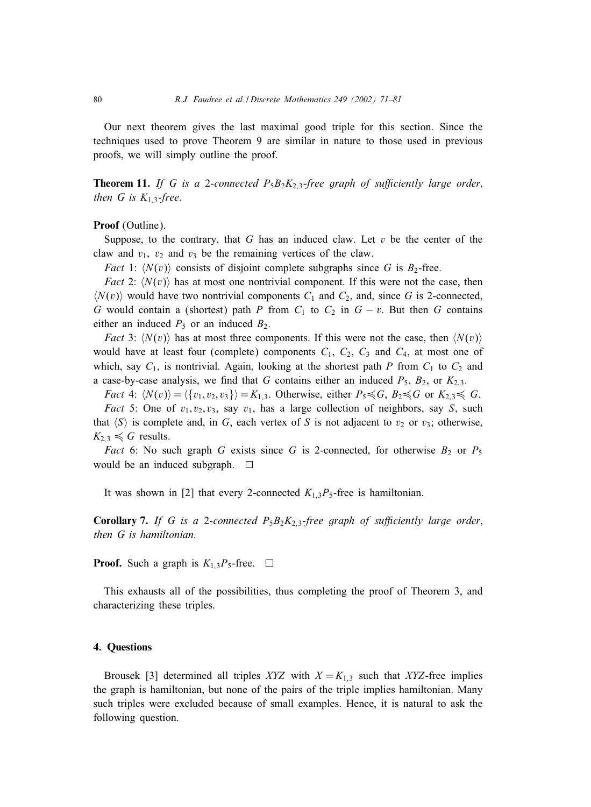Our next theorem gives the last maximal good triple for this section. Since the techniques used to prove Theorem 9 are similar in nature to those used in previous proofs, we will simply outline the proof.

**Theorem 11.** *If G is a 2-connected*  $P_5B_2K_{2,3}$ *-free graph of sufficiently large order*, *then G is*  $K_{1,3}$ *-free.* 

Proof (Outline).

Suppose, to the contrary, that G has an induced claw. Let  $v$  be the center of the claw and  $v_1$ ,  $v_2$  and  $v_3$  be the remaining vertices of the claw.

*Fact* 1:  $\langle N(v) \rangle$  consists of disjoint complete subgraphs since G is  $B_2$ -free.

*Fact* 2:  $\langle N(v) \rangle$  has at most one nontrivial component. If this were not the case, then  $\langle N(v) \rangle$  would have two nontrivial components  $C_1$  and  $C_2$ , and, since G is 2-connected, G would contain a (shortest) path P from  $C_1$  to  $C_2$  in  $G - v$ . But then G contains either an induced  $P_5$  or an induced  $B_2$ .

*Fact* 3:  $\langle N(v) \rangle$  has at most three components. If this were not the case, then  $\langle N(v) \rangle$ would have at least four (complete) components  $C_1$ ,  $C_2$ ,  $C_3$  and  $C_4$ , at most one of which, say  $C_1$ , is nontrivial. Again, looking at the shortest path P from  $C_1$  to  $C_2$  and a case-by-case analysis, we find that G contains either an induced  $P_5$ ,  $B_2$ , or  $K_{2,3}$ .

*Fact* 4:  $\langle N(v) \rangle = \langle \{v_1, v_2, v_3\} \rangle = K_{1,3}$ . Otherwise, either  $P_5 \preccurlyeq G$ ,  $B_2 \preccurlyeq G$  or  $K_{2,3} \preccurlyeq G$ . *Fact* 5: One of  $v_1, v_2, v_3$ , say  $v_1$ , has a large collection of neighbors, say S, such

that  $\langle S \rangle$  is complete and, in G, each vertex of S is not adjacent to  $v_2$  or  $v_3$ ; otherwise,  $K_{2,3} \le G$  results.

*Fact* 6: No such graph G exists since G is 2-connected, for otherwise  $B_2$  or  $P_5$ would be an induced subgraph.  $\Box$ 

It was shown in [2] that every 2-connected  $K_{1,3}P_5$ -free is hamiltonian.

**Corollary 7.** If G is a 2-connected  $P_5B_2K_{2,3}$ -free graph of sufficiently large order, *then G is hamiltonian*.

**Proof.** Such a graph is  $K_{1,3}P_5$ -free.  $\Box$ 

This exhausts all of the possibilities, thus completing the proof of Theorem 3, and characterizing these triples.

## 4. Questions

Brousek [3] determined all triples XYZ with  $X = K_{1,3}$  such that XYZ-free implies the graph is hamiltonian, but none of the pairs of the triple implies hamiltonian. Many such triples were excluded because of small examples. Hence, it is natural to ask the following question.